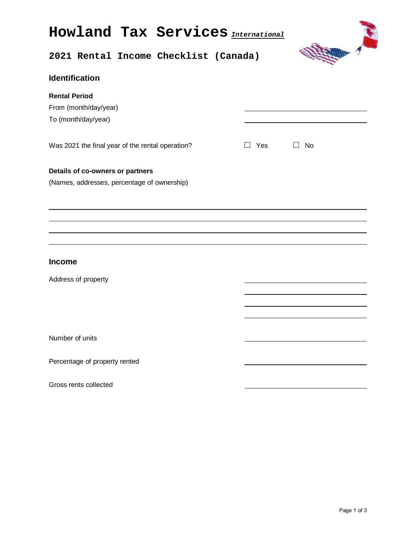# **Howland Tax Services** *International*



# **2021 Rental Income Checklist (Canada)**

| <b>Identification</b>                                                           |                             |     | $\overline{\phantom{a}}$ |
|---------------------------------------------------------------------------------|-----------------------------|-----|--------------------------|
| <b>Rental Period</b><br>From (month/day/year)<br>To (month/day/year)            |                             |     |                          |
| Was 2021 the final year of the rental operation?                                | <b>Yes</b><br>$\mathcal{L}$ | No. |                          |
| Details of co-owners or partners<br>(Names, addresses, percentage of ownership) |                             |     |                          |

#### **Income**

 $\overline{a}$  $\overline{a}$ 

Address of property

Number of units

Percentage of property rented

Gross rents collected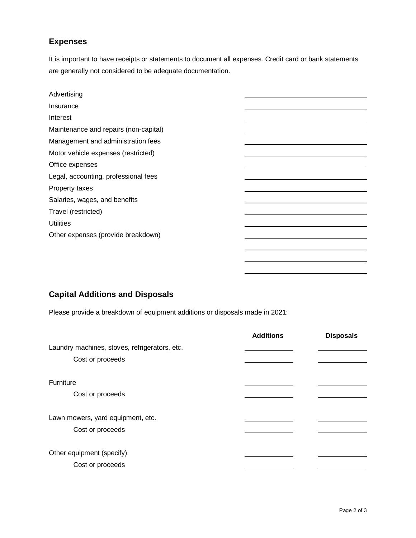## **Expenses**

It is important to have receipts or statements to document all expenses. Credit card or bank statements are generally not considered to be adequate documentation.

| Advertising                           |  |
|---------------------------------------|--|
| Insurance                             |  |
| Interest                              |  |
| Maintenance and repairs (non-capital) |  |
| Management and administration fees    |  |
| Motor vehicle expenses (restricted)   |  |
| Office expenses                       |  |
| Legal, accounting, professional fees  |  |
| Property taxes                        |  |
| Salaries, wages, and benefits         |  |
| Travel (restricted)                   |  |
| <b>Utilities</b>                      |  |
| Other expenses (provide breakdown)    |  |
|                                       |  |
|                                       |  |
|                                       |  |

# **Capital Additions and Disposals**

Please provide a breakdown of equipment additions or disposals made in 2021:

| <b>Additions</b> | <b>Disposals</b> |
|------------------|------------------|
|                  |                  |
|                  |                  |
|                  |                  |
|                  |                  |
|                  |                  |
|                  |                  |
|                  |                  |
|                  |                  |
|                  |                  |
|                  |                  |
|                  |                  |
|                  |                  |